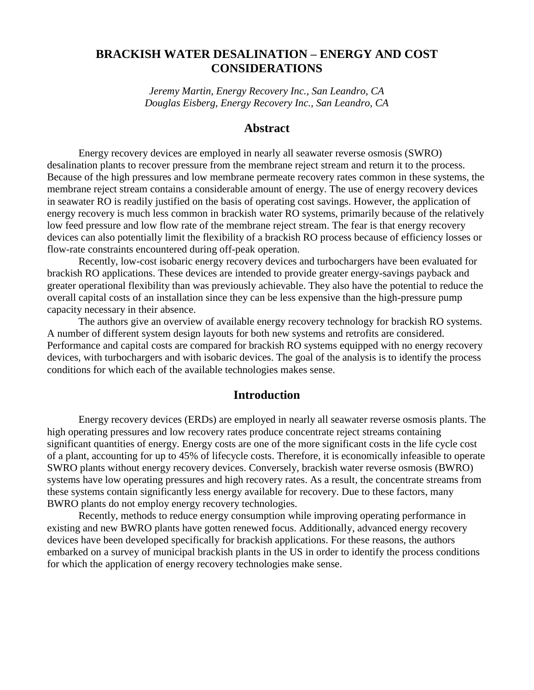# **BRACKISH WATER DESALINATION – ENERGY AND COST CONSIDERATIONS**

*Jeremy Martin, Energy Recovery Inc., San Leandro, CA Douglas Eisberg, Energy Recovery Inc., San Leandro, CA*

### **Abstract**

Energy recovery devices are employed in nearly all seawater reverse osmosis (SWRO) desalination plants to recover pressure from the membrane reject stream and return it to the process. Because of the high pressures and low membrane permeate recovery rates common in these systems, the membrane reject stream contains a considerable amount of energy. The use of energy recovery devices in seawater RO is readily justified on the basis of operating cost savings. However, the application of energy recovery is much less common in brackish water RO systems, primarily because of the relatively low feed pressure and low flow rate of the membrane reject stream. The fear is that energy recovery devices can also potentially limit the flexibility of a brackish RO process because of efficiency losses or flow-rate constraints encountered during off-peak operation.

Recently, low-cost isobaric energy recovery devices and turbochargers have been evaluated for brackish RO applications. These devices are intended to provide greater energy-savings payback and greater operational flexibility than was previously achievable. They also have the potential to reduce the overall capital costs of an installation since they can be less expensive than the high-pressure pump capacity necessary in their absence.

The authors give an overview of available energy recovery technology for brackish RO systems. A number of different system design layouts for both new systems and retrofits are considered. Performance and capital costs are compared for brackish RO systems equipped with no energy recovery devices, with turbochargers and with isobaric devices. The goal of the analysis is to identify the process conditions for which each of the available technologies makes sense.

## **Introduction**

Energy recovery devices (ERDs) are employed in nearly all seawater reverse osmosis plants. The high operating pressures and low recovery rates produce concentrate reject streams containing significant quantities of energy. Energy costs are one of the more significant costs in the life cycle cost of a plant, accounting for up to 45% of lifecycle costs. Therefore, it is economically infeasible to operate SWRO plants without energy recovery devices. Conversely, brackish water reverse osmosis (BWRO) systems have low operating pressures and high recovery rates. As a result, the concentrate streams from these systems contain significantly less energy available for recovery. Due to these factors, many BWRO plants do not employ energy recovery technologies.

Recently, methods to reduce energy consumption while improving operating performance in existing and new BWRO plants have gotten renewed focus. Additionally, advanced energy recovery devices have been developed specifically for brackish applications. For these reasons, the authors embarked on a survey of municipal brackish plants in the US in order to identify the process conditions for which the application of energy recovery technologies make sense.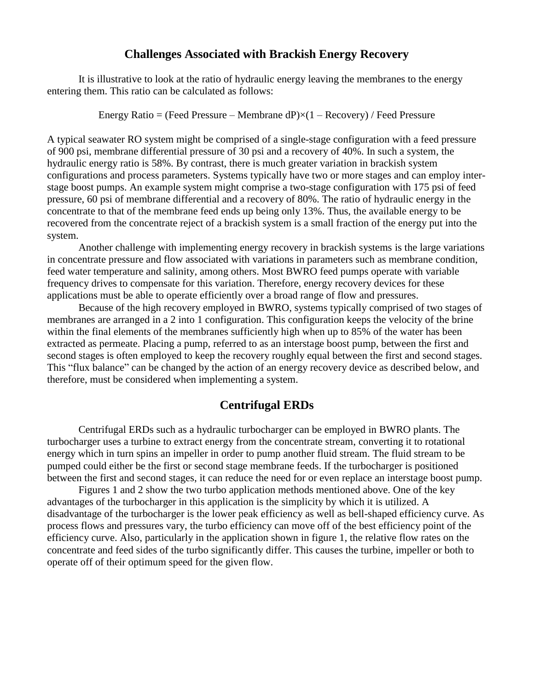## **Challenges Associated with Brackish Energy Recovery**

It is illustrative to look at the ratio of hydraulic energy leaving the membranes to the energy entering them. This ratio can be calculated as follows:

Energy Ratio = (Feed Pressure – Membrane dP) $\times$ (1 – Recovery) / Feed Pressure

A typical seawater RO system might be comprised of a single-stage configuration with a feed pressure of 900 psi, membrane differential pressure of 30 psi and a recovery of 40%. In such a system, the hydraulic energy ratio is 58%. By contrast, there is much greater variation in brackish system configurations and process parameters. Systems typically have two or more stages and can employ interstage boost pumps. An example system might comprise a two-stage configuration with 175 psi of feed pressure, 60 psi of membrane differential and a recovery of 80%. The ratio of hydraulic energy in the concentrate to that of the membrane feed ends up being only 13%. Thus, the available energy to be recovered from the concentrate reject of a brackish system is a small fraction of the energy put into the system.

Another challenge with implementing energy recovery in brackish systems is the large variations in concentrate pressure and flow associated with variations in parameters such as membrane condition, feed water temperature and salinity, among others. Most BWRO feed pumps operate with variable frequency drives to compensate for this variation. Therefore, energy recovery devices for these applications must be able to operate efficiently over a broad range of flow and pressures.

Because of the high recovery employed in BWRO, systems typically comprised of two stages of membranes are arranged in a 2 into 1 configuration. This configuration keeps the velocity of the brine within the final elements of the membranes sufficiently high when up to 85% of the water has been extracted as permeate. Placing a pump, referred to as an interstage boost pump, between the first and second stages is often employed to keep the recovery roughly equal between the first and second stages. This "flux balance" can be changed by the action of an energy recovery device as described below, and therefore, must be considered when implementing a system.

### **Centrifugal ERDs**

Centrifugal ERDs such as a hydraulic turbocharger can be employed in BWRO plants. The turbocharger uses a turbine to extract energy from the concentrate stream, converting it to rotational energy which in turn spins an impeller in order to pump another fluid stream. The fluid stream to be pumped could either be the first or second stage membrane feeds. If the turbocharger is positioned between the first and second stages, it can reduce the need for or even replace an interstage boost pump.

Figures 1 and 2 show the two turbo application methods mentioned above. One of the key advantages of the turbocharger in this application is the simplicity by which it is utilized. A disadvantage of the turbocharger is the lower peak efficiency as well as bell-shaped efficiency curve. As process flows and pressures vary, the turbo efficiency can move off of the best efficiency point of the efficiency curve. Also, particularly in the application shown in figure 1, the relative flow rates on the concentrate and feed sides of the turbo significantly differ. This causes the turbine, impeller or both to operate off of their optimum speed for the given flow.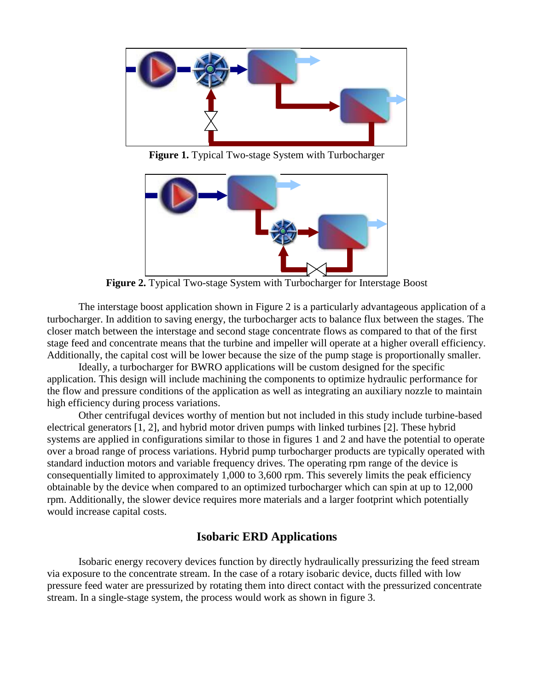

**Figure 1.** Typical Two-stage System with Turbocharger



**Figure 2.** Typical Two-stage System with Turbocharger for Interstage Boost

The interstage boost application shown in Figure 2 is a particularly advantageous application of a turbocharger. In addition to saving energy, the turbocharger acts to balance flux between the stages. The closer match between the interstage and second stage concentrate flows as compared to that of the first stage feed and concentrate means that the turbine and impeller will operate at a higher overall efficiency. Additionally, the capital cost will be lower because the size of the pump stage is proportionally smaller.

Ideally, a turbocharger for BWRO applications will be custom designed for the specific application. This design will include machining the components to optimize hydraulic performance for the flow and pressure conditions of the application as well as integrating an auxiliary nozzle to maintain high efficiency during process variations.

Other centrifugal devices worthy of mention but not included in this study include turbine-based electrical generators [1, 2], and hybrid motor driven pumps with linked turbines [2]. These hybrid systems are applied in configurations similar to those in figures 1 and 2 and have the potential to operate over a broad range of process variations. Hybrid pump turbocharger products are typically operated with standard induction motors and variable frequency drives. The operating rpm range of the device is consequentially limited to approximately 1,000 to 3,600 rpm. This severely limits the peak efficiency obtainable by the device when compared to an optimized turbocharger which can spin at up to 12,000 rpm. Additionally, the slower device requires more materials and a larger footprint which potentially would increase capital costs.

## **Isobaric ERD Applications**

Isobaric energy recovery devices function by directly hydraulically pressurizing the feed stream via exposure to the concentrate stream. In the case of a rotary isobaric device, ducts filled with low pressure feed water are pressurized by rotating them into direct contact with the pressurized concentrate stream. In a single-stage system, the process would work as shown in figure 3.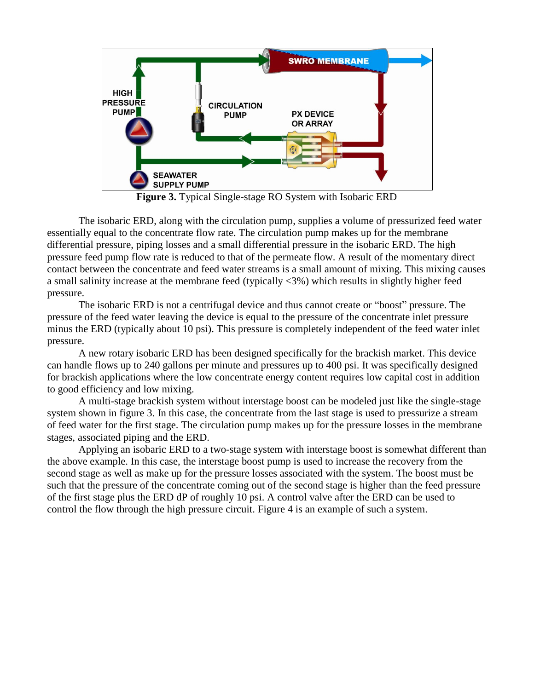

**Figure 3.** Typical Single-stage RO System with Isobaric ERD

The isobaric ERD, along with the circulation pump, supplies a volume of pressurized feed water essentially equal to the concentrate flow rate. The circulation pump makes up for the membrane differential pressure, piping losses and a small differential pressure in the isobaric ERD. The high pressure feed pump flow rate is reduced to that of the permeate flow. A result of the momentary direct contact between the concentrate and feed water streams is a small amount of mixing. This mixing causes a small salinity increase at the membrane feed (typically <3%) which results in slightly higher feed pressure.

The isobaric ERD is not a centrifugal device and thus cannot create or "boost" pressure. The pressure of the feed water leaving the device is equal to the pressure of the concentrate inlet pressure minus the ERD (typically about 10 psi). This pressure is completely independent of the feed water inlet pressure.

A new rotary isobaric ERD has been designed specifically for the brackish market. This device can handle flows up to 240 gallons per minute and pressures up to 400 psi. It was specifically designed for brackish applications where the low concentrate energy content requires low capital cost in addition to good efficiency and low mixing.

A multi-stage brackish system without interstage boost can be modeled just like the single-stage system shown in figure 3. In this case, the concentrate from the last stage is used to pressurize a stream of feed water for the first stage. The circulation pump makes up for the pressure losses in the membrane stages, associated piping and the ERD.

Applying an isobaric ERD to a two-stage system with interstage boost is somewhat different than the above example. In this case, the interstage boost pump is used to increase the recovery from the second stage as well as make up for the pressure losses associated with the system. The boost must be such that the pressure of the concentrate coming out of the second stage is higher than the feed pressure of the first stage plus the ERD dP of roughly 10 psi. A control valve after the ERD can be used to control the flow through the high pressure circuit. Figure 4 is an example of such a system.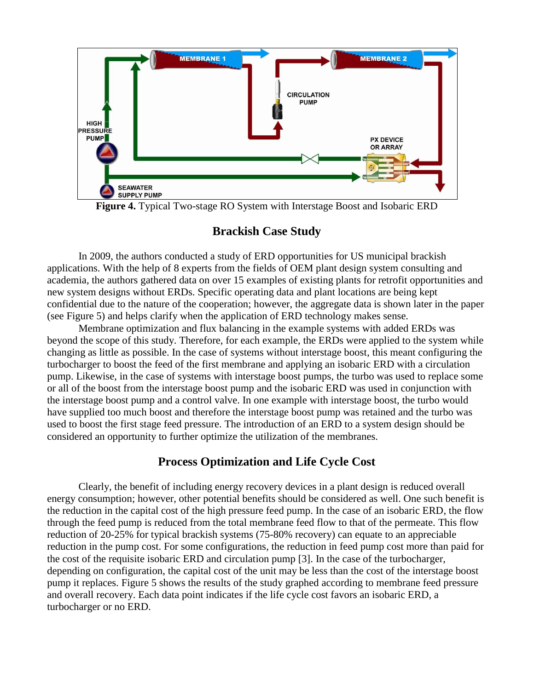

**Figure 4.** Typical Two-stage RO System with Interstage Boost and Isobaric ERD

# **Brackish Case Study**

In 2009, the authors conducted a study of ERD opportunities for US municipal brackish applications. With the help of 8 experts from the fields of OEM plant design system consulting and academia, the authors gathered data on over 15 examples of existing plants for retrofit opportunities and new system designs without ERDs. Specific operating data and plant locations are being kept confidential due to the nature of the cooperation; however, the aggregate data is shown later in the paper (see Figure 5) and helps clarify when the application of ERD technology makes sense.

Membrane optimization and flux balancing in the example systems with added ERDs was beyond the scope of this study. Therefore, for each example, the ERDs were applied to the system while changing as little as possible. In the case of systems without interstage boost, this meant configuring the turbocharger to boost the feed of the first membrane and applying an isobaric ERD with a circulation pump. Likewise, in the case of systems with interstage boost pumps, the turbo was used to replace some or all of the boost from the interstage boost pump and the isobaric ERD was used in conjunction with the interstage boost pump and a control valve. In one example with interstage boost, the turbo would have supplied too much boost and therefore the interstage boost pump was retained and the turbo was used to boost the first stage feed pressure. The introduction of an ERD to a system design should be considered an opportunity to further optimize the utilization of the membranes.

# **Process Optimization and Life Cycle Cost**

Clearly, the benefit of including energy recovery devices in a plant design is reduced overall energy consumption; however, other potential benefits should be considered as well. One such benefit is the reduction in the capital cost of the high pressure feed pump. In the case of an isobaric ERD, the flow through the feed pump is reduced from the total membrane feed flow to that of the permeate. This flow reduction of 20-25% for typical brackish systems (75-80% recovery) can equate to an appreciable reduction in the pump cost. For some configurations, the reduction in feed pump cost more than paid for the cost of the requisite isobaric ERD and circulation pump [3]. In the case of the turbocharger, depending on configuration, the capital cost of the unit may be less than the cost of the interstage boost pump it replaces. Figure 5 shows the results of the study graphed according to membrane feed pressure and overall recovery. Each data point indicates if the life cycle cost favors an isobaric ERD, a turbocharger or no ERD.